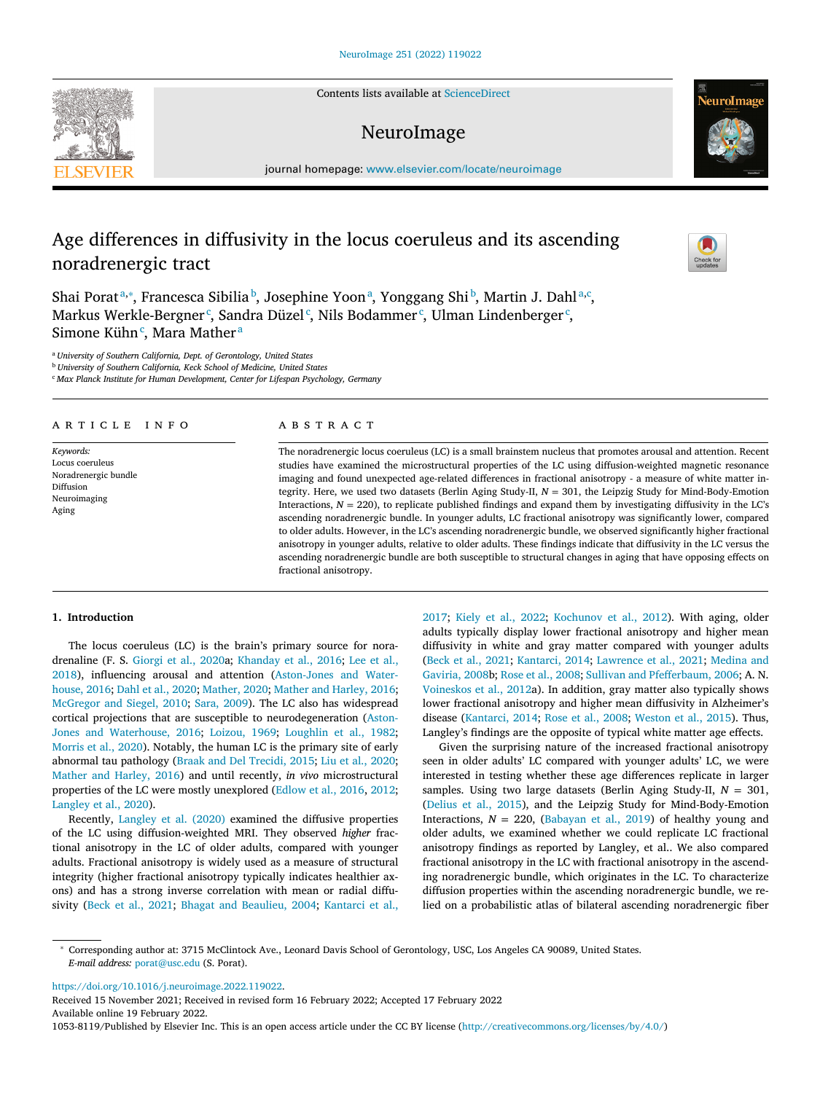Contents lists available at [ScienceDirect](http://www.ScienceDirect.com)

# NeuroImage

journal homepage: [www.elsevier.com/locate/neuroimage](http://www.elsevier.com/locate/neuroimage)

# Age differences in diffusivity in the locus coeruleus and its ascending noradrenergic tract

Shai Poratª,\*, Francesca Sibilia <sup>b</sup>, Josephine Yoonª, Yonggang Shi <sup>b</sup>, Martin J. Dahlª,<sup>c</sup>, Markus Werkle-Bergner $\lq$ , Sandra Düzel $\lq$ , Nils Bodammer $\lq$ , Ulman Lindenberger $\lq$ , Simone Kühn<sup>c</sup>, Mara Mather<sup>a</sup>

<sup>a</sup> *University of Southern California, Dept. of Gerontology, United States*

<sup>b</sup> *University of Southern California, Keck School of Medicine, United States*

<sup>c</sup> *Max Planck Institute for Human Development, Center for Lifespan Psychology, Germany*

## a r t i c l e i n f o

*Keywords:* Locus coeruleus Noradrenergic bundle Diffusion Neuroimaging Aging

## A B S T R A C T

The noradrenergic locus coeruleus (LC) is a small brainstem nucleus that promotes arousal and attention. Recent studies have examined the microstructural properties of the LC using diffusion-weighted magnetic resonance imaging and found unexpected age-related differences in fractional anisotropy - a measure of white matter integrity. Here, we used two datasets (Berlin Aging Study-II, *N* = 301, the Leipzig Study for Mind-Body-Emotion Interactions,  $N = 220$ ), to replicate published findings and expand them by investigating diffusivity in the LC's ascending noradrenergic bundle. In younger adults, LC fractional anisotropy was significantly lower, compared to older adults. However, in the LC's ascending noradrenergic bundle, we observed significantly higher fractional anisotropy in younger adults, relative to older adults. These findings indicate that diffusivity in the LC versus the ascending noradrenergic bundle are both susceptible to structural changes in aging that have opposing effects on fractional anisotropy.

#### **1. Introduction**

The locus coeruleus (LC) is the brain's primary source for noradrenaline (F. S. [Giorgi](#page-9-0) et al., 2020a; [Khanday](#page-9-0) et al., 2016; Lee et al., 2018), influencing arousal and attention [\(Aston-Jones](#page-9-0) and Waterhouse, 2016; Dahl et al., [2020;](#page-9-0) [Mather,](#page-10-0) 2020; Mather and [Harley,](#page-10-0) 2016; [McGregor](#page-10-0) and Siegel, 2010; Sara, [2009\)](#page-10-0). The LC also has widespread cortical projections that are susceptible to [neurodegeneration](#page-9-0) (Aston-Jones and Waterhouse, 2016; [Loizou,](#page-9-0) 1969; [Loughlin](#page-9-0) et al., 1982; [Morris](#page-10-0) et al., 2020). Notably, the human LC is the primary site of early abnormal tau pathology (Braak and Del [Trecidi,](#page-9-0) 2015; Liu et al., [2020;](#page-9-0) Mather and [Harley,](#page-10-0) 2016) and until recently, *in vivo* microstructural properties of the LC were mostly unexplored [\(Edlow](#page-9-0) et al., 2016, [2012;](#page-9-0) [Langley](#page-9-0) et al., 2020).

Recently, [Langley](#page-9-0) et al. (2020) examined the diffusive properties of the LC using diffusion-weighted MRI. They observed *higher* fractional anisotropy in the LC of older adults, compared with younger adults. Fractional anisotropy is widely used as a measure of structural integrity (higher fractional anisotropy typically indicates healthier axons) and has a strong inverse correlation with mean or radial diffusivity (Beck et al., [2021;](#page-9-0) Bhagat and [Beaulieu,](#page-9-0) 2004; [Kantarci](#page-9-0) et al.,

[2017;](#page-9-0) Kiely et al., [2022;](#page-9-0) [Kochunov](#page-9-0) et al., 2012). With aging, older adults typically display lower fractional anisotropy and higher mean diffusivity in white and gray matter compared with younger adults (Beck et al., [2021;](#page-9-0) [Kantarci,](#page-9-0) 2014; [Lawrence](#page-9-0) et al., 2021; Medina and Gaviria, 2008b; Rose et al., [2008;](#page-10-0) Sullivan and [Pfefferbaum,](#page-10-0) 2006; A. N. [Voineskos](#page-10-0) et al., 2012a). In addition, gray matter also typically shows lower fractional anisotropy and higher mean diffusivity in Alzheimer's disease [\(Kantarci,](#page-9-0) 2014; Rose et al., [2008;](#page-10-0) [Weston](#page-10-0) et al., 2015). Thus, Langley's findings are the opposite of typical white matter age effects.

Given the surprising nature of the increased fractional anisotropy seen in older adults' LC compared with younger adults' LC, we were interested in testing whether these age differences replicate in larger samples. Using two large datasets (Berlin Aging Study-II, *N* = 301, [\(Delius](#page-9-0) et al., 2015), and the Leipzig Study for Mind-Body-Emotion Interactions,  $N = 220$ , [\(Babayan](#page-9-0) et al., 2019) of healthy young and older adults, we examined whether we could replicate LC fractional anisotropy findings as reported by Langley, et al.. We also compared fractional anisotropy in the LC with fractional anisotropy in the ascending noradrenergic bundle, which originates in the LC. To characterize diffusion properties within the ascending noradrenergic bundle, we relied on a probabilistic atlas of bilateral ascending noradrenergic fiber

[https://doi.org/10.1016/j.neuroimage.2022.119022.](https://doi.org/10.1016/j.neuroimage.2022.119022)

Received 15 November 2021; Received in revised form 16 February 2022; Accepted 17 February 2022 Available online 19 February 2022. 1053-8119/Published by Elsevier Inc. This is an open access article under the CC BY license [\(http://creativecommons.org/licenses/by/4.0/\)](http://creativecommons.org/licenses/by/4.0/)







<sup>∗</sup> Corresponding author at: 3715 McClintock Ave., Leonard Davis School of Gerontology, USC, Los Angeles CA 90089, United States. *E-mail address:* [porat@usc.edu](mailto:porat@usc.edu) (S. Porat).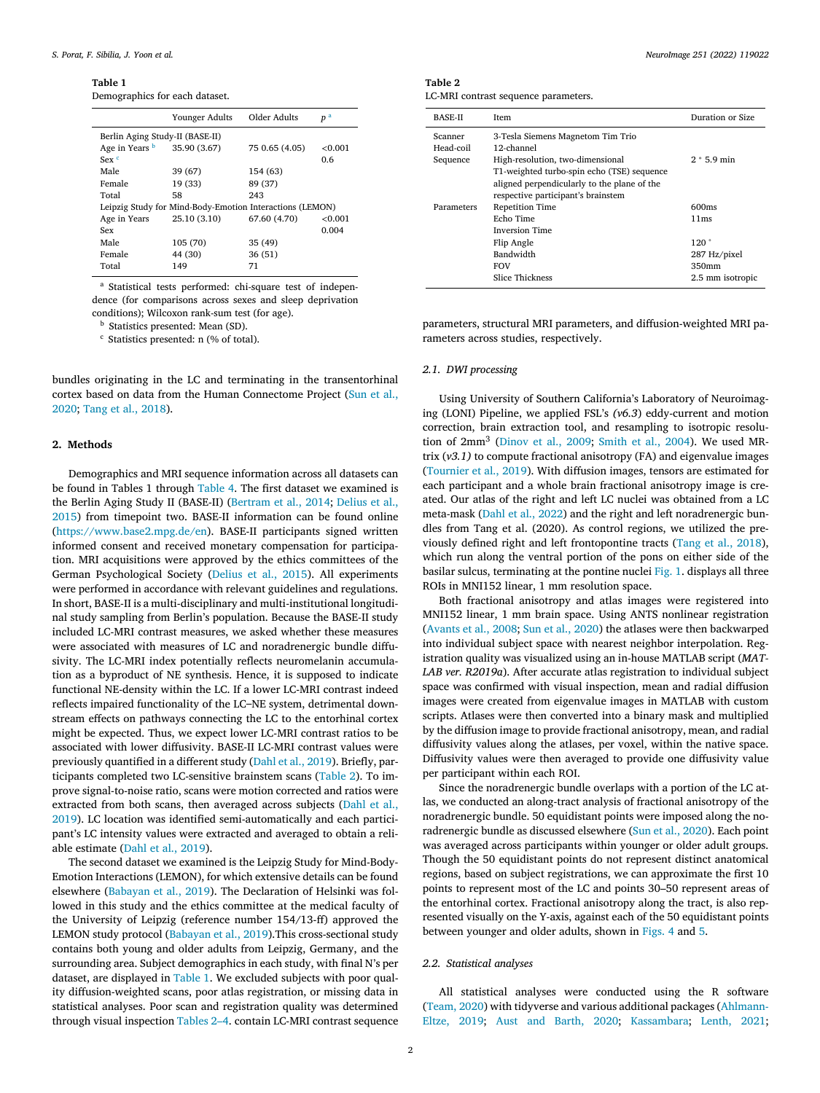**Table 1**

Demographics for each dataset.

|                                                          | Younger Adults | Older Adults   | p <sup>a</sup> |  |  |
|----------------------------------------------------------|----------------|----------------|----------------|--|--|
| Berlin Aging Study-II (BASE-II)                          |                |                |                |  |  |
| Age in Years b                                           | 35.90 (3.67)   | 75 0.65 (4.05) | < 0.001        |  |  |
| $Sex$ <sup>c</sup>                                       |                |                | 0.6            |  |  |
| Male                                                     | 39 (67)        | 154 (63)       |                |  |  |
| Female                                                   | 19 (33)        | 89 (37)        |                |  |  |
| Total                                                    | 58             | 243            |                |  |  |
| Leipzig Study for Mind-Body-Emotion Interactions (LEMON) |                |                |                |  |  |
| Age in Years                                             | 25.10 (3.10)   | 67.60 (4.70)   | < 0.001        |  |  |
| Sex                                                      |                |                | 0.004          |  |  |
| Male                                                     | 105 (70)       | 35 (49)        |                |  |  |
| Female                                                   | 44 (30)        | 36(51)         |                |  |  |
| Total                                                    | 149            | 71             |                |  |  |

<sup>a</sup> Statistical tests performed: chi-square test of independence (for comparisons across sexes and sleep deprivation conditions); Wilcoxon rank-sum test (for age).

<sup>b</sup> Statistics presented: Mean (SD).

<sup>c</sup> Statistics presented: n (% of total).

bundles originating in the LC and terminating in the transentorhinal cortex based on data from the Human [Connectome](#page-10-0) Project (Sun et al., 2020; Tang et al., [2018\)](#page-10-0).

## **2. Methods**

Demographics and MRI sequence information across all datasets can be found in Tables 1 through [Table](#page-2-0) 4. The first dataset we examined is the Berlin Aging Study II (BASE-II) [\(Bertram](#page-9-0) et al., 2014; Delius et al., 2015) from timepoint two. BASE-II [information](#page-9-0) can be found online [\(https://www.base2.mpg.de/en\)](https://www.base2.mpg.de/en). BASE-II participants signed written informed consent and received monetary compensation for participation. MRI acquisitions were approved by the ethics committees of the German Psychological Society [\(Delius](#page-9-0) et al., 2015). All experiments were performed in accordance with relevant guidelines and regulations. In short, BASE-II is a multi-disciplinary and multi-institutional longitudinal study sampling from Berlin's population. Because the BASE-II study included LC-MRI contrast measures, we asked whether these measures were associated with measures of LC and noradrenergic bundle diffusivity. The LC-MRI index potentially reflects neuromelanin accumulation as a byproduct of NE synthesis. Hence, it is supposed to indicate functional NE-density within the LC. If a lower LC-MRI contrast indeed reflects impaired functionality of the LC–NE system, detrimental downstream effects on pathways connecting the LC to the entorhinal cortex might be expected. Thus, we expect lower LC-MRI contrast ratios to be associated with lower diffusivity. BASE-II LC-MRI contrast values were previously quantified in a different study (Dahl et al., [2019\)](#page-9-0). Briefly, participants completed two LC-sensitive brainstem scans (Table 2). To improve signal-to-noise ratio, scans were motion corrected and ratios were extracted from both scans, then averaged across subjects (Dahl et al., 2019). LC location was identified [semi-automatically](#page-9-0) and each participant's LC intensity values were extracted and averaged to obtain a reliable estimate (Dahl et al., [2019\)](#page-9-0).

The second dataset we examined is the Leipzig Study for Mind-Body-Emotion Interactions (LEMON), for which extensive details can be found elsewhere [\(Babayan](#page-9-0) et al., 2019). The Declaration of Helsinki was followed in this study and the ethics committee at the medical faculty of the University of Leipzig (reference number 154/13-ff) approved the LEMON study protocol [\(Babayan](#page-9-0) et al., 2019).This cross-sectional study contains both young and older adults from Leipzig, Germany, and the surrounding area. Subject demographics in each study, with final N's per dataset, are displayed in Table 1. We excluded subjects with poor quality diffusion-weighted scans, poor atlas registration, or missing data in statistical analyses. Poor scan and registration quality was determined through visual inspection Tables 2–4. contain LC-MRI contrast sequence **Table 2**

LC-MRI contrast sequence parameters.

| <b>BASE-II</b> | <b>Item</b>                                 | Duration or Size  |  |  |  |
|----------------|---------------------------------------------|-------------------|--|--|--|
| Scanner        | 3-Tesla Siemens Magnetom Tim Trio           |                   |  |  |  |
| Head-coil      | 12-channel                                  |                   |  |  |  |
| Sequence       | High-resolution, two-dimensional            | $2 * 5.9$ min     |  |  |  |
|                | T1-weighted turbo-spin echo (TSE) sequence  |                   |  |  |  |
|                | aligned perpendicularly to the plane of the |                   |  |  |  |
|                | respective participant's brainstem          |                   |  |  |  |
| Parameters     | <b>Repetition Time</b>                      | 600 <sub>ms</sub> |  |  |  |
|                | Echo Time                                   | 11ms              |  |  |  |
|                |                                             |                   |  |  |  |
|                | 120°                                        |                   |  |  |  |
|                | Bandwidth<br>287 Hz/pixel                   |                   |  |  |  |
|                | <b>FOV</b>                                  | 350mm             |  |  |  |
|                | <b>Slice Thickness</b>                      | 2.5 mm isotropic  |  |  |  |

parameters, structural MRI parameters, and diffusion-weighted MRI parameters across studies, respectively.

## *2.1. DWI processing*

Using University of Southern California's Laboratory of Neuroimaging (LONI) Pipeline, we applied FSL's *(v6.3*) eddy-current and motion correction, brain extraction tool, and resampling to isotropic resolution of 2mm<sup>3</sup> [\(Dinov](#page-9-0) et al., 2009; [Smith](#page-10-0) et al., 2004). We used MRtrix (*v3.1)* to compute fractional anisotropy (FA) and eigenvalue images [\(Tournier](#page-10-0) et al., 2019). With diffusion images, tensors are estimated for each participant and a whole brain fractional anisotropy image is created. Our atlas of the right and left LC nuclei was obtained from a LC meta-mask (Dahl et al., [2022\)](#page-9-0) and the right and left noradrenergic bundles from Tang et al. (2020). As control regions, we utilized the previously defined right and left frontopontine tracts (Tang et al., [2018\)](#page-10-0), which run along the ventral portion of the pons on either side of the basilar sulcus, terminating at the pontine nuclei [Fig.](#page-3-0) 1. displays all three ROIs in MNI152 linear, 1 mm resolution space.

Both fractional anisotropy and atlas images were registered into MNI152 linear, 1 mm brain space. Using ANTS nonlinear registration [\(Avants](#page-9-0) et al., 2008; Sun et al., [2020\)](#page-10-0) the atlases were then backwarped into individual subject space with nearest neighbor interpolation. Registration quality was visualized using an in-house MATLAB script (*MAT-LAB ver. R2019a*). After accurate atlas registration to individual subject space was confirmed with visual inspection, mean and radial diffusion images were created from eigenvalue images in MATLAB with custom scripts. Atlases were then converted into a binary mask and multiplied by the diffusion image to provide fractional anisotropy, mean, and radial diffusivity values along the atlases, per voxel, within the native space. Diffusivity values were then averaged to provide one diffusivity value per participant within each ROI.

Since the noradrenergic bundle overlaps with a portion of the LC atlas, we conducted an along-tract analysis of fractional anisotropy of the noradrenergic bundle. 50 equidistant points were imposed along the noradrenergic bundle as discussed elsewhere (Sun et al., [2020\)](#page-10-0). Each point was averaged across participants within younger or older adult groups. Though the 50 equidistant points do not represent distinct anatomical regions, based on subject registrations, we can approximate the first 10 points to represent most of the LC and points 30–50 represent areas of the entorhinal cortex. Fractional anisotropy along the tract, is also represented visually on the Y-axis, against each of the 50 equidistant points between younger and older adults, shown in [Figs.](#page-7-0) 4 and [5.](#page-8-0)

#### *2.2. Statistical analyses*

All statistical analyses were conducted using the R software [\(Team,](#page-10-0) 2020) with tidyverse and various additional packages (Ahlmann-Eltze, 2019; Aust and [Barth,](#page-9-0) 2020; [Kassambara;](#page-9-0) [Lenth,](#page-9-0) 2021;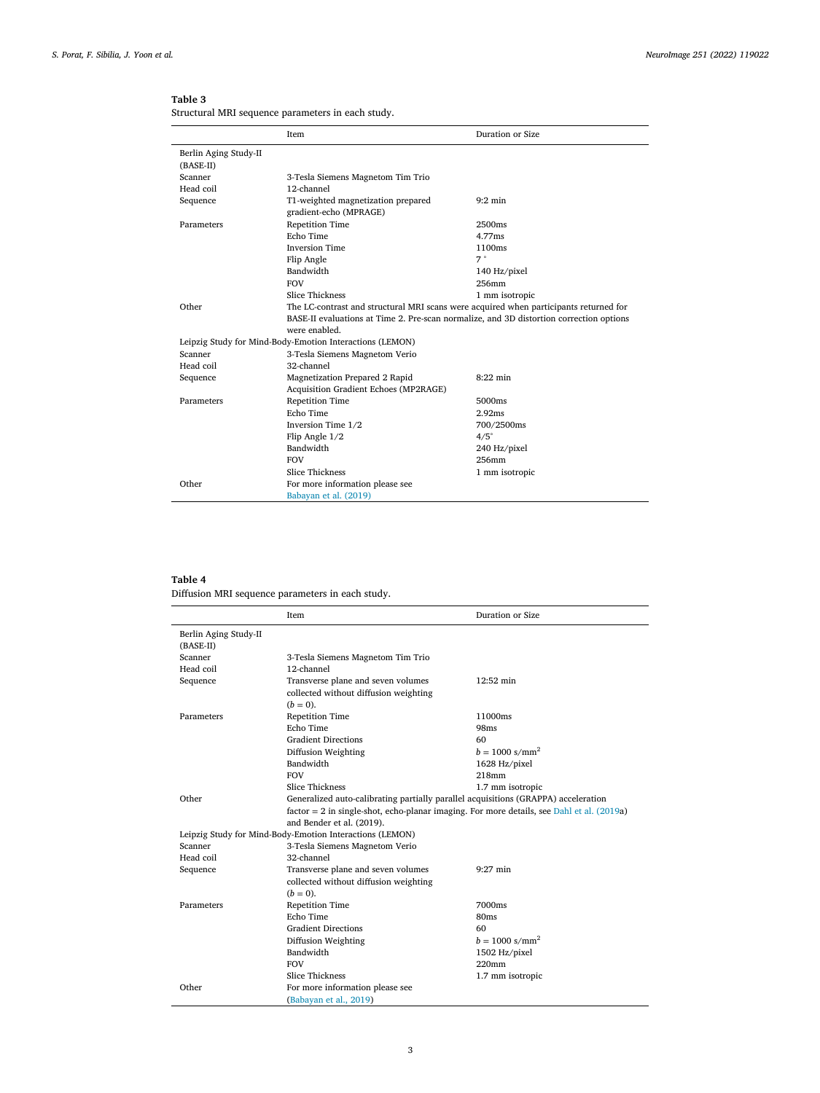|                       | Item                                                                                    | Duration or Size |  |  |  |
|-----------------------|-----------------------------------------------------------------------------------------|------------------|--|--|--|
| Berlin Aging Study-II |                                                                                         |                  |  |  |  |
| $(BASE-II)$           |                                                                                         |                  |  |  |  |
| Scanner               | 3-Tesla Siemens Magnetom Tim Trio                                                       |                  |  |  |  |
| Head coil             | 12-channel                                                                              |                  |  |  |  |
| Sequence              | T1-weighted magnetization prepared<br>gradient-echo (MPRAGE)                            | $9:2$ min        |  |  |  |
| Parameters            | <b>Repetition Time</b>                                                                  | 2500ms           |  |  |  |
|                       | Echo Time                                                                               | 4.77ms           |  |  |  |
|                       | <b>Inversion Time</b>                                                                   | 1100ms           |  |  |  |
|                       | Flip Angle                                                                              | 7°               |  |  |  |
|                       | Bandwidth                                                                               | 140 Hz/pixel     |  |  |  |
|                       | <b>FOV</b>                                                                              | 256mm            |  |  |  |
|                       | <b>Slice Thickness</b>                                                                  | 1 mm isotropic   |  |  |  |
| Other                 | The LC-contrast and structural MRI scans were acquired when participants returned for   |                  |  |  |  |
|                       | BASE-II evaluations at Time 2. Pre-scan normalize, and 3D distortion correction options |                  |  |  |  |
|                       | were enabled                                                                            |                  |  |  |  |
|                       | Leipzig Study for Mind-Body-Emotion Interactions (LEMON)                                |                  |  |  |  |
| Scanner               | 3-Tesla Siemens Magnetom Verio                                                          |                  |  |  |  |
| Head coil             | 32-channel                                                                              |                  |  |  |  |
| Sequence              | Magnetization Prepared 2 Rapid                                                          | $8:22$ min       |  |  |  |
|                       | Acquisition Gradient Echoes (MP2RAGE)                                                   |                  |  |  |  |
| Parameters            | <b>Repetition Time</b>                                                                  | 5000ms           |  |  |  |
|                       | Echo Time                                                                               | 2.92ms           |  |  |  |
|                       | Inversion Time 1/2                                                                      | 700/2500ms       |  |  |  |
|                       | Flip Angle $1/2$                                                                        | $4/5^\circ$      |  |  |  |
|                       | Bandwidth                                                                               | 240 Hz/pixel     |  |  |  |
|                       | <b>FOV</b>                                                                              | 256mm            |  |  |  |
|                       | <b>Slice Thickness</b>                                                                  | 1 mm isotropic   |  |  |  |
| Other                 | For more information please see                                                         |                  |  |  |  |
|                       | Babayan et al. (2019)                                                                   |                  |  |  |  |

<span id="page-2-0"></span>**Table 3** Structural MRI sequence parameters in each study.

## **Table 4**

Diffusion MRI sequence parameters in each study.

|                                      | Item                                                                               | Duration or Size                                                                            |
|--------------------------------------|------------------------------------------------------------------------------------|---------------------------------------------------------------------------------------------|
| Berlin Aging Study-II<br>$(BASE-II)$ |                                                                                    |                                                                                             |
| Scanner                              | 3-Tesla Siemens Magnetom Tim Trio                                                  |                                                                                             |
| Head coil                            | 12-channel                                                                         |                                                                                             |
| Sequence                             | Transverse plane and seven volumes                                                 | 12:52 min                                                                                   |
|                                      | collected without diffusion weighting                                              |                                                                                             |
|                                      | $(b = 0)$ .                                                                        |                                                                                             |
| Parameters                           | <b>Repetition Time</b>                                                             | 11000ms                                                                                     |
|                                      | Echo Time                                                                          | 98ms                                                                                        |
|                                      | <b>Gradient Directions</b>                                                         | 60                                                                                          |
|                                      | Diffusion Weighting                                                                | $b = 1000$ s/mm <sup>2</sup>                                                                |
|                                      | Bandwidth                                                                          | 1628 Hz/pixel                                                                               |
|                                      | <b>FOV</b>                                                                         | 218mm                                                                                       |
|                                      | <b>Slice Thickness</b>                                                             | 1.7 mm isotropic                                                                            |
| Other                                | Generalized auto-calibrating partially parallel acquisitions (GRAPPA) acceleration |                                                                                             |
|                                      |                                                                                    | $factor = 2$ in single-shot, echo-planar imaging. For more details, see Dahl et al. (2019a) |
|                                      | and Bender et al. (2019).                                                          |                                                                                             |
|                                      | Leipzig Study for Mind-Body-Emotion Interactions (LEMON)                           |                                                                                             |
| Scanner                              | 3-Tesla Siemens Magnetom Verio                                                     |                                                                                             |
| Head coil                            | 32-channel                                                                         |                                                                                             |
| Sequence                             | Transverse plane and seven volumes                                                 | $9:27$ min                                                                                  |
|                                      | collected without diffusion weighting                                              |                                                                                             |
|                                      | $(b = 0)$ .                                                                        |                                                                                             |
| Parameters                           | <b>Repetition Time</b>                                                             | 7000ms                                                                                      |
|                                      | Echo Time                                                                          | 80ms                                                                                        |
|                                      | <b>Gradient Directions</b>                                                         | 60                                                                                          |
|                                      | Diffusion Weighting                                                                | $b = 1000$ s/mm <sup>2</sup>                                                                |
|                                      | Bandwidth                                                                          | 1502 Hz/pixel                                                                               |
|                                      | <b>FOV</b>                                                                         | 220 <sub>mm</sub>                                                                           |
|                                      | <b>Slice Thickness</b>                                                             | 1.7 mm isotropic                                                                            |
| Other                                | For more information please see                                                    |                                                                                             |
|                                      | (Babayan et al., 2019)                                                             |                                                                                             |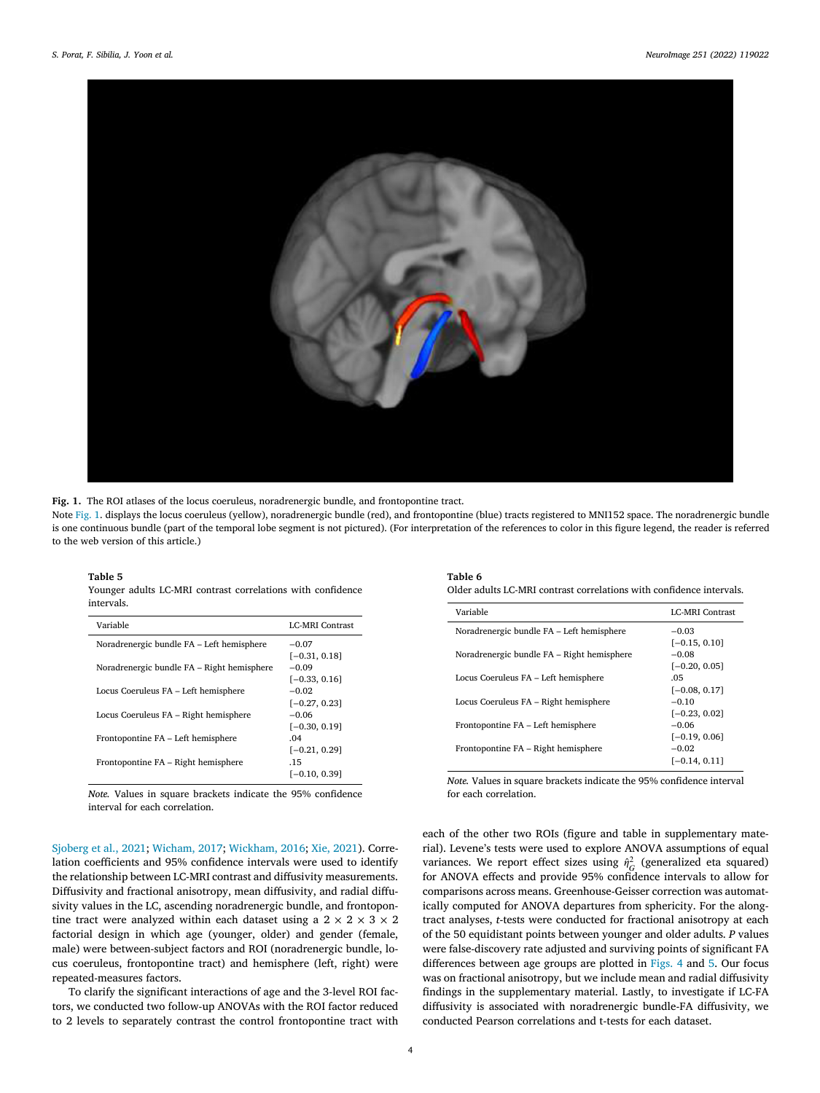<span id="page-3-0"></span>

**Fig. 1.** The ROI atlases of the locus coeruleus, noradrenergic bundle, and frontopontine tract.

Note Fig. 1. displays the locus coeruleus (yellow), noradrenergic bundle (red), and frontopontine (blue) tracts registered to MNI152 space. The noradrenergic bundle is one continuous bundle (part of the temporal lobe segment is not pictured). (For interpretation of the references to color in this figure legend, the reader is referred to the web version of this article.)

#### **Table 5**

|            |  | Younger adults LC-MRI contrast correlations with confidence |  |
|------------|--|-------------------------------------------------------------|--|
| intervals. |  |                                                             |  |

| Variable                                   | <b>LC-MRI Contrast</b> |
|--------------------------------------------|------------------------|
| Noradrenergic bundle FA – Left hemisphere  | $-0.07$                |
|                                            | $[-0.31, 0.18]$        |
| Noradrenergic bundle FA – Right hemisphere | $-0.09$                |
|                                            | $[-0.33, 0.16]$        |
| Locus Coeruleus FA - Left hemisphere       | $-0.02$                |
|                                            | $[-0.27, 0.23]$        |
| Locus Coeruleus FA – Right hemisphere      | $-0.06$                |
|                                            | $[-0.30, 0.19]$        |
| Frontopontine FA – Left hemisphere         | .04                    |
|                                            | $[-0.21, 0.29]$        |
| Frontopontine FA - Right hemisphere        | .15                    |
|                                            | $[-0.10, 0.39]$        |
|                                            |                        |

*Note.* Values in square brackets indicate the 95% confidence interval for each correlation.

## **Table 6**

Older adults LC-MRI contrast correlations with confidence intervals.

| Variable                                   | <b>LC-MRI Contrast</b> |
|--------------------------------------------|------------------------|
| Noradrenergic bundle FA - Left hemisphere  | $-0.03$                |
|                                            | $[-0.15, 0.10]$        |
| Noradrenergic bundle FA - Right hemisphere | $-0.08$                |
|                                            | $[-0.20, 0.05]$        |
| Locus Coeruleus FA - Left hemisphere       | .05                    |
|                                            | $[-0.08, 0.17]$        |
| Locus Coeruleus FA – Right hemisphere      | $-0.10$                |
|                                            | $[-0.23, 0.02]$        |
| Frontopontine FA – Left hemisphere         | $-0.06$                |
|                                            | $[-0.19, 0.06]$        |
| Frontopontine FA – Right hemisphere        | $-0.02$                |
|                                            | $[-0.14, 0.11]$        |
|                                            |                        |

*Note.* Values in square brackets indicate the 95% confidence interval for each correlation.

[Sjoberg](#page-10-0) et al., 2021; [Wicham,](#page-10-0) 2017; [Wickham,](#page-10-0) 2016; Xie, [2021\)](#page-10-0). Correlation coefficients and 95% confidence intervals were used to identify the relationship between LC-MRI contrast and diffusivity measurements. Diffusivity and fractional anisotropy, mean diffusivity, and radial diffusivity values in the LC, ascending noradrenergic bundle, and frontopontine tract were analyzed within each dataset using a  $2 \times 2 \times 3 \times 2$ factorial design in which age (younger, older) and gender (female, male) were between-subject factors and ROI (noradrenergic bundle, locus coeruleus, frontopontine tract) and hemisphere (left, right) were repeated-measures factors.

To clarify the significant interactions of age and the 3-level ROI factors, we conducted two follow-up ANOVAs with the ROI factor reduced to 2 levels to separately contrast the control frontopontine tract with each of the other two ROIs (figure and table in supplementary material). Levene's tests were used to explore ANOVA assumptions of equal variances. We report effect sizes using  $\hat{\eta}_G^2$  (generalized eta squared) for ANOVA effects and provide 95% confidence intervals to allow for comparisons across means. Greenhouse-Geisser correction was automatically computed for ANOVA departures from sphericity. For the alongtract analyses, *t*-tests were conducted for fractional anisotropy at each of the 50 equidistant points between younger and older adults. *P* values were false-discovery rate adjusted and surviving points of significant FA differences between age groups are plotted in [Figs.](#page-7-0) 4 and [5.](#page-8-0) Our focus was on fractional anisotropy, but we include mean and radial diffusivity findings in the supplementary material. Lastly, to investigate if LC-FA diffusivity is associated with noradrenergic bundle-FA diffusivity, we conducted Pearson correlations and t-tests for each dataset.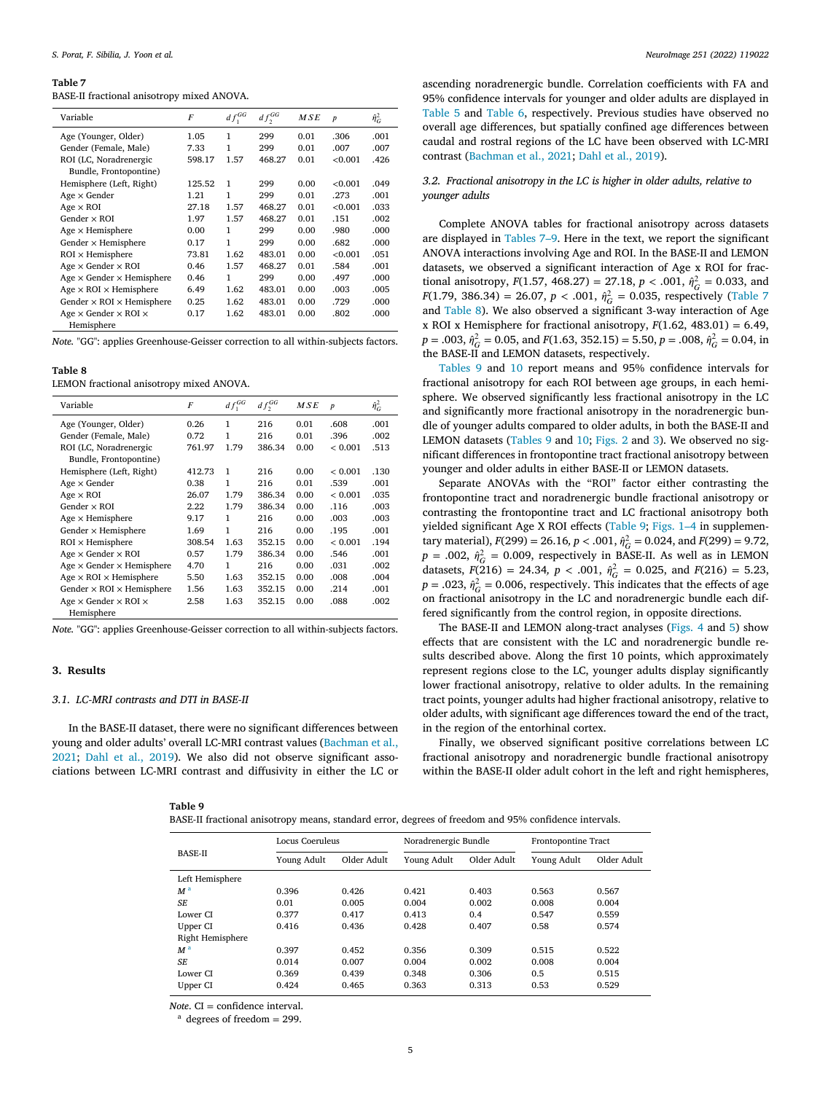#### **Table 7**

BASE-II fractional anisotropy mixed ANOVA.

| Variable                                  | F      | $df_1^{GG}$ | $df_2^{GG}$ | MSE  | $\boldsymbol{p}$ | $\hat{\eta}_G^2$ |
|-------------------------------------------|--------|-------------|-------------|------|------------------|------------------|
| Age (Younger, Older)                      | 1.05   | 1           | 299         | 0.01 | .306             | .001             |
| Gender (Female, Male)                     | 7.33   | 1           | 299         | 0.01 | .007             | .007             |
| ROI (LC, Noradrenergic                    | 598.17 | 1.57        | 468.27      | 0.01 | < 0.001          | .426             |
| Bundle, Frontopontine)                    |        |             |             |      |                  |                  |
| Hemisphere (Left, Right)                  | 125.52 | 1           | 299         | 0.00 | < 0.001          | .049             |
| $Age \times Gender$                       | 1.21   | 1           | 299         | 0.01 | .273             | .001             |
| $Age \times ROI$                          | 27.18  | 1.57        | 468.27      | 0.01 | < 0.001          | .033             |
| Gender $\times$ ROI                       | 1.97   | 1.57        | 468.27      | 0.01 | .151             | .002             |
| $Age \times$ Hemisphere                   | 0.00   | 1           | 299         | 0.00 | .980             | .000             |
| Gender $\times$ Hemisphere                | 0.17   | 1           | 299         | 0.00 | .682             | .000             |
| $ROI \times$ Hemisphere                   | 73.81  | 1.62        | 483.01      | 0.00 | < 0.001          | .051             |
| Age $\times$ Gender $\times$ ROI          | 0.46   | 1.57        | 468.27      | 0.01 | .584             | .001             |
| Age $\times$ Gender $\times$ Hemisphere   | 0.46   | 1           | 299         | 0.00 | .497             | .000             |
| $Age \times ROI \times Hemisphere$        | 6.49   | 1.62        | 483.01      | 0.00 | .003             | .005             |
| Gender $\times$ ROI $\times$ Hemisphere   | 0.25   | 1.62        | 483.01      | 0.00 | .729             | .000             |
| Age $\times$ Gender $\times$ ROI $\times$ | 0.17   | 1.62        | 483.01      | 0.00 | .802             | .000             |
| Hemisphere                                |        |             |             |      |                  |                  |

*Note.* "GG": applies Greenhouse-Geisser correction to all within-subjects factors.

#### **Table 8**

LEMON fractional anisotropy mixed ANOVA.

| Variable                                  | F      | $df_1^{GG}$ | $df_{\gamma}^{GG}$ | M S E | $\boldsymbol{p}$ | $\hat{\eta}_G^2$ |
|-------------------------------------------|--------|-------------|--------------------|-------|------------------|------------------|
| Age (Younger, Older)                      | 0.26   | 1           | 216                | 0.01  | .608             | .001             |
| Gender (Female, Male)                     | 0.72   | 1           | 216                | 0.01  | .396             | .002             |
| ROI (LC, Noradrenergic                    | 761.97 | 1.79        | 386.34             | 0.00  | < 0.001          | .513             |
| Bundle, Frontopontine)                    |        |             |                    |       |                  |                  |
| Hemisphere (Left, Right)                  | 412.73 | 1           | 216                | 0.00  | < 0.001          | .130             |
| $Age \times Gender$                       | 0.38   | 1           | 216                | 0.01  | .539             | .001             |
| $Age \times ROI$                          | 26.07  | 1.79        | 386.34             | 0.00  | ${}_{< 0.001}$   | .035             |
| Gender $\times$ ROI                       | 2.22   | 1.79        | 386.34             | 0.00  | .116             | .003             |
| $Age \times$ Hemisphere                   | 9.17   | 1           | 216                | 0.00  | .003             | .003             |
| Gender $\times$ Hemisphere                | 1.69   | 1           | 216                | 0.00  | .195             | .001             |
| $ROI \times$ Hemisphere                   | 308.54 | 1.63        | 352.15             | 0.00  | ${}_{< 0.001}$   | .194             |
| Age $\times$ Gender $\times$ ROI          | 0.57   | 1.79        | 386.34             | 0.00  | .546             | .001             |
| Age $\times$ Gender $\times$ Hemisphere   | 4.70   | 1           | 216                | 0.00  | .031             | .002             |
| $Age \times ROI \times Hemisphere$        | 5.50   | 1.63        | 352.15             | 0.00  | .008             | .004             |
| Gender $\times$ ROI $\times$ Hemisphere   | 1.56   | 1.63        | 352.15             | 0.00  | .214             | .001             |
| Age $\times$ Gender $\times$ ROI $\times$ | 2.58   | 1.63        | 352.15             | 0.00  | .088             | .002             |
| Hemisphere                                |        |             |                    |       |                  |                  |

*Note.* "GG": applies Greenhouse-Geisser correction to all within-subjects factors.

#### **3. Results**

#### *3.1. LC-MRI contrasts and DTI in BASE-II*

In the BASE-II dataset, there were no significant differences between young and older adults' overall LC-MRI contrast values (Bachman et al., 2021; Dahl et al., [2019\)](#page-9-0). We also did not observe [significant](#page-9-0) associations between LC-MRI contrast and diffusivity in either the LC or

| ٠ı | н<br>o<br>н |  |
|----|-------------|--|
|    |             |  |

|  |  |  |  | BASE-II fractional anisotropy means, standard error, degrees of freedom and 95% confidence intervals. |
|--|--|--|--|-------------------------------------------------------------------------------------------------------|
|--|--|--|--|-------------------------------------------------------------------------------------------------------|

ascending noradrenergic bundle. Correlation coefficients with FA and 95% confidence intervals for younger and older adults are displayed in [Table](#page-3-0) 5 and [Table](#page-3-0) 6, respectively. Previous studies have observed no overall age differences, but spatially confined age differences between caudal and rostral regions of the LC have been observed with LC-MRI contrast [\(Bachman](#page-9-0) et al., 2021; Dahl et al., [2019\)](#page-9-0).

## *3.2. Fractional anisotropy in the LC is higher in older adults, relative to younger adults*

Complete ANOVA tables for fractional anisotropy across datasets are displayed in Tables 7–9. Here in the text, we report the significant ANOVA interactions involving Age and ROI. In the BASE-II and LEMON datasets, we observed a significant interaction of Age x ROI for fractional anisotropy,  $F(1.57, 468.27) = 27.18$ ,  $p < .001$ ,  $\hat{\eta}_G^2 = 0.033$ , and *F*(1.79, 386.34) = 26.07, *p* < .001,  $\hat{\eta}_G^2$  = 0.035, respectively (Table 7 and Table 8). We also observed a significant 3-way interaction of Age x ROI x Hemisphere for fractional anisotropy, *F*(1.62, 483.01) = 6.49,  $p = .003$ ,  $\hat{\eta}_G^2 = 0.05$ , and  $F(1.63, 352.15) = 5.50$ ,  $p = .008$ ,  $\hat{\eta}_G^2 = 0.04$ , in the BASE-II and LEMON datasets, respectively.

Tables 9 and [10](#page-5-0) report means and 95% confidence intervals for fractional anisotropy for each ROI between age groups, in each hemisphere. We observed significantly less fractional anisotropy in the LC and significantly more fractional anisotropy in the noradrenergic bundle of younger adults compared to older adults, in both the BASE-II and LEMON datasets (Tables 9 and [10;](#page-5-0) [Figs.](#page-5-0) 2 and [3\)](#page-6-0). We observed no significant differences in frontopontine tract fractional anisotropy between younger and older adults in either BASE-II or LEMON datasets.

Separate ANOVAs with the "ROI" factor either contrasting the frontopontine tract and noradrenergic bundle fractional anisotropy or contrasting the frontopontine tract and LC fractional anisotropy both yielded significant Age X ROI effects (Table 9; [Figs.](#page-3-0) 1–4 in supplementary material),  $F(299) = 26.16$ ,  $p < .001$ ,  $\hat{\eta}_G^2 = 0.024$ , and  $F(299) = 9.72$ ,  $p = .002$ ,  $\hat{\eta}_G^2 = 0.009$ , respectively in BASE-II. As well as in LEMON datasets,  $F(216) = 24.34$ ,  $p < .001$ ,  $\hat{\eta}_G^2 = 0.025$ , and  $F(216) = 5.23$ ,  $p = .023$ ,  $\hat{\eta}_G^2 = 0.006$ , respectively. This indicates that the effects of age on fractional anisotropy in the LC and noradrenergic bundle each differed significantly from the control region, in opposite directions.

The BASE-II and LEMON along-tract analyses [\(Figs.](#page-7-0) 4 and [5\)](#page-8-0) show effects that are consistent with the LC and noradrenergic bundle results described above. Along the first 10 points, which approximately represent regions close to the LC, younger adults display significantly lower fractional anisotropy, relative to older adults. In the remaining tract points, younger adults had higher fractional anisotropy, relative to older adults, with significant age differences toward the end of the tract, in the region of the entorhinal cortex.

Finally, we observed significant positive correlations between LC fractional anisotropy and noradrenergic bundle fractional anisotropy within the BASE-II older adult cohort in the left and right hemispheres,

| <b>BASE-II</b>   | Locus Coeruleus |             | Noradrenergic Bundle |             | Frontopontine Tract |             |
|------------------|-----------------|-------------|----------------------|-------------|---------------------|-------------|
|                  | Young Adult     | Older Adult | Young Adult          | Older Adult | Young Adult         | Older Adult |
| Left Hemisphere  |                 |             |                      |             |                     |             |
| M <sup>a</sup>   | 0.396           | 0.426       | 0.421                | 0.403       | 0.563               | 0.567       |
| <b>SE</b>        | 0.01            | 0.005       | 0.004                | 0.002       | 0.008               | 0.004       |
| Lower CI         | 0.377           | 0.417       | 0.413                | 0.4         | 0.547               | 0.559       |
| Upper CI         | 0.416           | 0.436       | 0.428                | 0.407       | 0.58                | 0.574       |
| Right Hemisphere |                 |             |                      |             |                     |             |
| M <sup>a</sup>   | 0.397           | 0.452       | 0.356                | 0.309       | 0.515               | 0.522       |
| <b>SE</b>        | 0.014           | 0.007       | 0.004                | 0.002       | 0.008               | 0.004       |
| Lower CI         | 0.369           | 0.439       | 0.348                | 0.306       | 0.5                 | 0.515       |
| Upper CI         | 0.424           | 0.465       | 0.363                | 0.313       | 0.53                | 0.529       |

*Note*. CI = confidence interval.

 $a$  degrees of freedom  $= 299$ .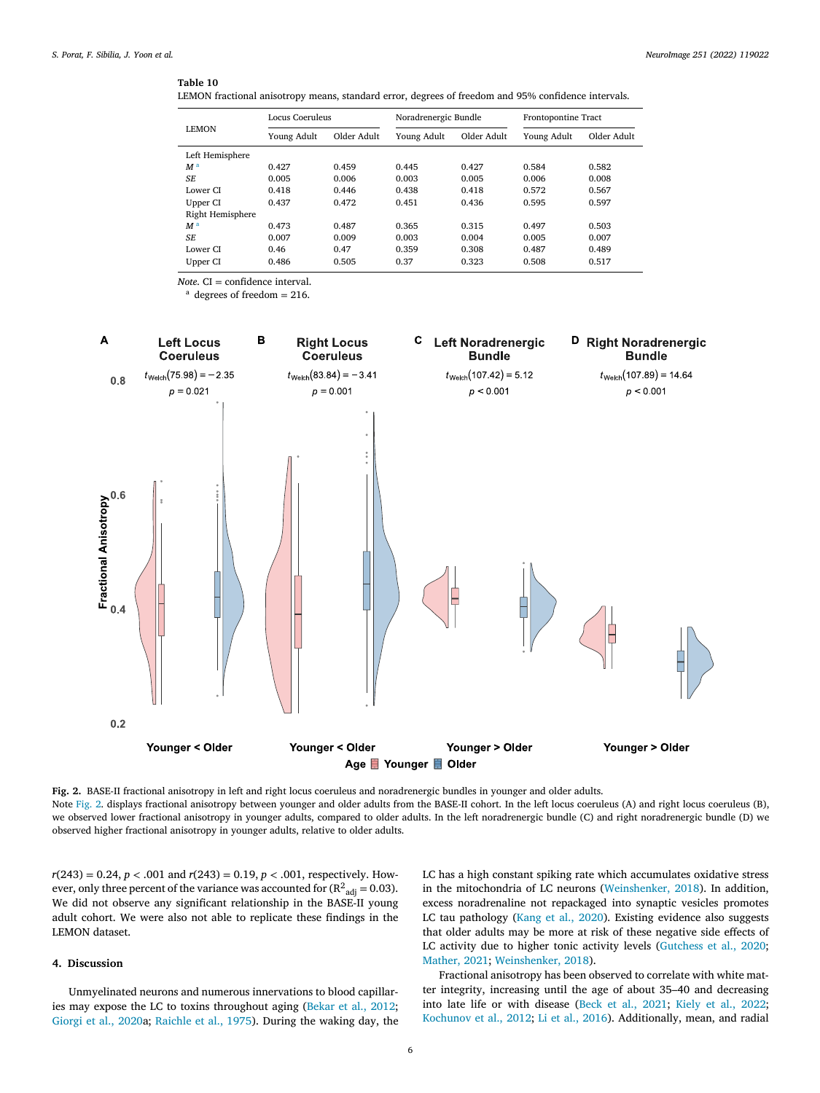#### <span id="page-5-0"></span>**Table 10**

| LEMON fractional anisotropy means, standard error, degrees of freedom and 95% confidence intervals. |  |  |  |  |
|-----------------------------------------------------------------------------------------------------|--|--|--|--|
|-----------------------------------------------------------------------------------------------------|--|--|--|--|

| <b>LEMON</b>     |             | Locus Coeruleus |             | Noradrenergic Bundle |             | Frontopontine Tract |  |
|------------------|-------------|-----------------|-------------|----------------------|-------------|---------------------|--|
|                  | Young Adult | Older Adult     | Young Adult | Older Adult          | Young Adult | Older Adult         |  |
| Left Hemisphere  |             |                 |             |                      |             |                     |  |
| M <sup>a</sup>   | 0.427       | 0.459           | 0.445       | 0.427                | 0.584       | 0.582               |  |
| <b>SE</b>        | 0.005       | 0.006           | 0.003       | 0.005                | 0.006       | 0.008               |  |
| Lower CI         | 0.418       | 0.446           | 0.438       | 0.418                | 0.572       | 0.567               |  |
| Upper CI         | 0.437       | 0.472           | 0.451       | 0.436                | 0.595       | 0.597               |  |
| Right Hemisphere |             |                 |             |                      |             |                     |  |
| M <sup>a</sup>   | 0.473       | 0.487           | 0.365       | 0.315                | 0.497       | 0.503               |  |
| SF.              | 0.007       | 0.009           | 0.003       | 0.004                | 0.005       | 0.007               |  |
| Lower CI         | 0.46        | 0.47            | 0.359       | 0.308                | 0.487       | 0.489               |  |
| Upper CI         | 0.486       | 0.505           | 0.37        | 0.323                | 0.508       | 0.517               |  |

*Note*. CI = confidence interval.

 $a$  degrees of freedom = 216.



**Fig. 2.** BASE-II fractional anisotropy in left and right locus coeruleus and noradrenergic bundles in younger and older adults. Note Fig. 2. displays fractional anisotropy between younger and older adults from the BASE-II cohort. In the left locus coeruleus (A) and right locus coeruleus (B), we observed lower fractional anisotropy in younger adults, compared to older adults. In the left noradrenergic bundle (C) and right noradrenergic bundle (D) we observed higher fractional anisotropy in younger adults, relative to older adults.

 $r(243) = 0.24$ ,  $p < .001$  and  $r(243) = 0.19$ ,  $p < .001$ , respectively. However, only three percent of the variance was accounted for (R $^2$ <sub>adj</sub> = 0.03). We did not observe any significant relationship in the BASE-II young adult cohort. We were also not able to replicate these findings in the LEMON dataset.

# **4. Discussion**

Unmyelinated neurons and numerous innervations to blood capillaries may expose the LC to toxins throughout aging [\(Bekar](#page-9-0) et al., 2012; [Giorgi](#page-9-0) et al., 2020a; [Raichle](#page-10-0) et al., 1975). During the waking day, the LC has a high constant spiking rate which accumulates oxidative stress in the mitochondria of LC neurons [\(Weinshenker,](#page-10-0) 2018). In addition, excess noradrenaline not repackaged into synaptic vesicles promotes LC tau pathology [\(Kang](#page-9-0) et al., 2020). Existing evidence also suggests that older adults may be more at risk of these negative side effects of LC activity due to higher tonic activity levels [\(Gutchess](#page-9-0) et al., 2020; [Mather,](#page-10-0) 2021; [Weinshenker,](#page-10-0) 2018).

Fractional anisotropy has been observed to correlate with white matter integrity, increasing until the age of about 35–40 and decreasing into late life or with disease (Beck et al., [2021;](#page-9-0) Kiely et al., [2022;](#page-9-0) [Kochunov](#page-9-0) et al., 2012; Li et al., [2016\)](#page-9-0). Additionally, mean, and radial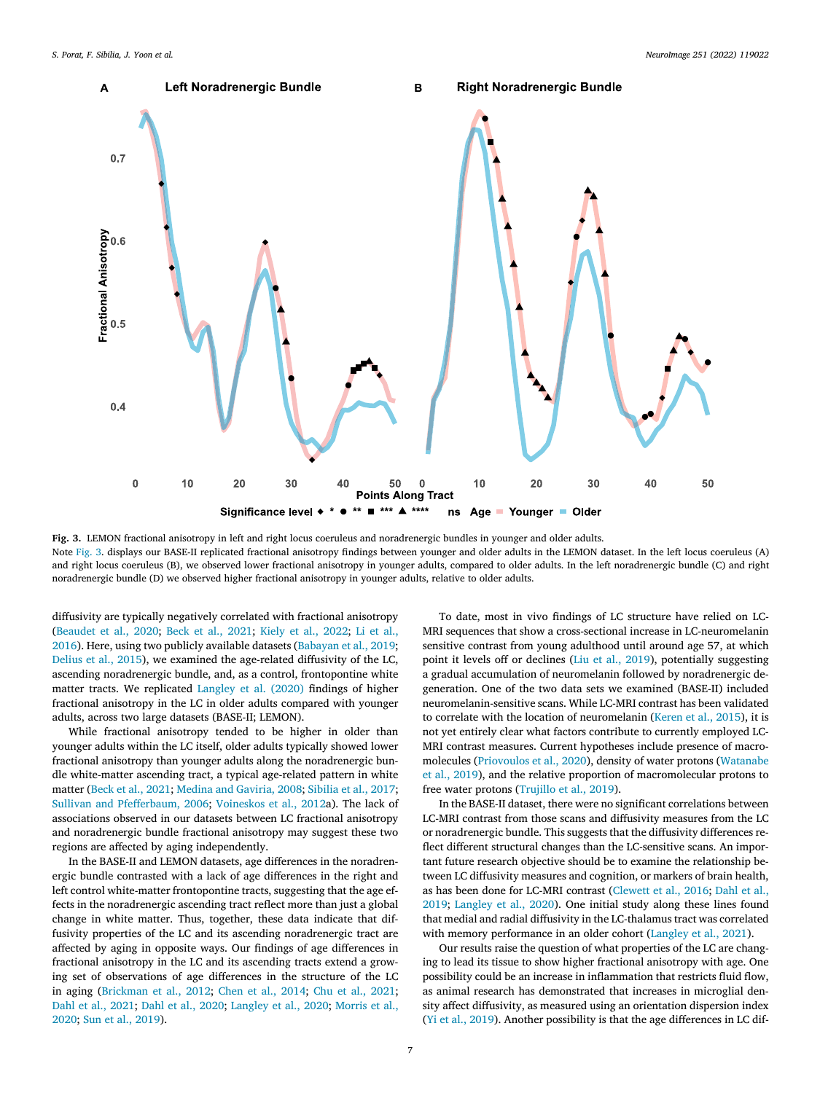<span id="page-6-0"></span>

**Fig. 3.** LEMON fractional anisotropy in left and right locus coeruleus and noradrenergic bundles in younger and older adults. Note Fig. 3. displays our BASE-II replicated fractional anisotropy findings between younger and older adults in the LEMON dataset. In the left locus coeruleus (A) and right locus coeruleus (B), we observed lower fractional anisotropy in younger adults, compared to older adults. In the left noradrenergic bundle (C) and right noradrenergic bundle (D) we observed higher fractional anisotropy in younger adults, relative to older adults.

diffusivity are typically negatively correlated with fractional anisotropy [\(Beaudet](#page-9-0) et al., 2020; Beck et al., [2021;](#page-9-0) Kiely et al., [2022;](#page-9-0) Li et al., 2016). Here, using two publicly available datasets [\(Babayan](#page-9-0) et al., 2019; [Delius](#page-9-0) et al., 2015), we examined the age-related diffusivity of the LC, ascending noradrenergic bundle, and, as a control, frontopontine white matter tracts. We replicated [Langley](#page-9-0) et al. (2020) findings of higher fractional anisotropy in the LC in older adults compared with younger adults, across two large datasets (BASE-II; LEMON).

While fractional anisotropy tended to be higher in older than younger adults within the LC itself, older adults typically showed lower fractional anisotropy than younger adults along the noradrenergic bundle white-matter ascending tract, a typical age-related pattern in white matter (Beck et al., [2021;](#page-9-0) Medina and [Gaviria,](#page-10-0) 2008; [Sibilia](#page-10-0) et al., 2017; Sullivan and [Pfefferbaum,](#page-10-0) 2006; [Voineskos](#page-10-0) et al., 2012a). The lack of associations observed in our datasets between LC fractional anisotropy and noradrenergic bundle fractional anisotropy may suggest these two regions are affected by aging independently.

In the BASE-II and LEMON datasets, age differences in the noradrenergic bundle contrasted with a lack of age differences in the right and left control white-matter frontopontine tracts, suggesting that the age effects in the noradrenergic ascending tract reflect more than just a global change in white matter. Thus, together, these data indicate that diffusivity properties of the LC and its ascending noradrenergic tract are affected by aging in opposite ways. Our findings of age differences in fractional anisotropy in the LC and its ascending tracts extend a growing set of observations of age differences in the structure of the LC in aging [\(Brickman](#page-9-0) et al., 2012; Chen et al., [2014;](#page-9-0) Chu et al., [2021;](#page-9-0) Dahl et al., [2021;](#page-9-0) Dahl et al., [2020;](#page-9-0) [Langley](#page-9-0) et al., 2020; Morris et al., 2020; Sun et al., [2019\)](#page-10-0).

To date, most in vivo findings of LC structure have relied on LC-MRI sequences that show a cross-sectional increase in LC-neuromelanin sensitive contrast from young adulthood until around age 57, at which point it levels off or declines (Liu et al., [2019\)](#page-9-0), potentially suggesting a gradual accumulation of neuromelanin followed by noradrenergic degeneration. One of the two data sets we examined (BASE-II) included neuromelanin-sensitive scans. While LC-MRI contrast has been validated to correlate with the location of neuromelanin [\(Keren](#page-9-0) et al., 2015), it is not yet entirely clear what factors contribute to currently employed LC-MRI contrast measures. Current hypotheses include presence of macromolecules [\(Priovoulos](#page-10-0) et al., 2020), density of water protons (Watanabe et al., 2019), and the relative proportion of [macromolecular](#page-10-0) protons to free water protons [\(Trujillo](#page-10-0) et al., 2019).

In the BASE-II dataset, there were no significant correlations between LC-MRI contrast from those scans and diffusivity measures from the LC or noradrenergic bundle. This suggests that the diffusivity differences reflect different structural changes than the LC-sensitive scans. An important future research objective should be to examine the relationship between LC diffusivity measures and cognition, or markers of brain health, as has been done for LC-MRI contrast [\(Clewett](#page-9-0) et al., 2016; Dahl et al., 2019; [Langley](#page-9-0) et al., 2020). One initial study along these lines found that medial and radial diffusivity in the LC-thalamus tract was correlated with memory performance in an older cohort [\(Langley](#page-9-0) et al., 2021).

Our results raise the question of what properties of the LC are changing to lead its tissue to show higher fractional anisotropy with age. One possibility could be an increase in inflammation that restricts fluid flow, as animal research has demonstrated that increases in microglial density affect diffusivity, as measured using an orientation dispersion index (Yi et al., [2019\)](#page-10-0). Another possibility is that the age differences in LC dif-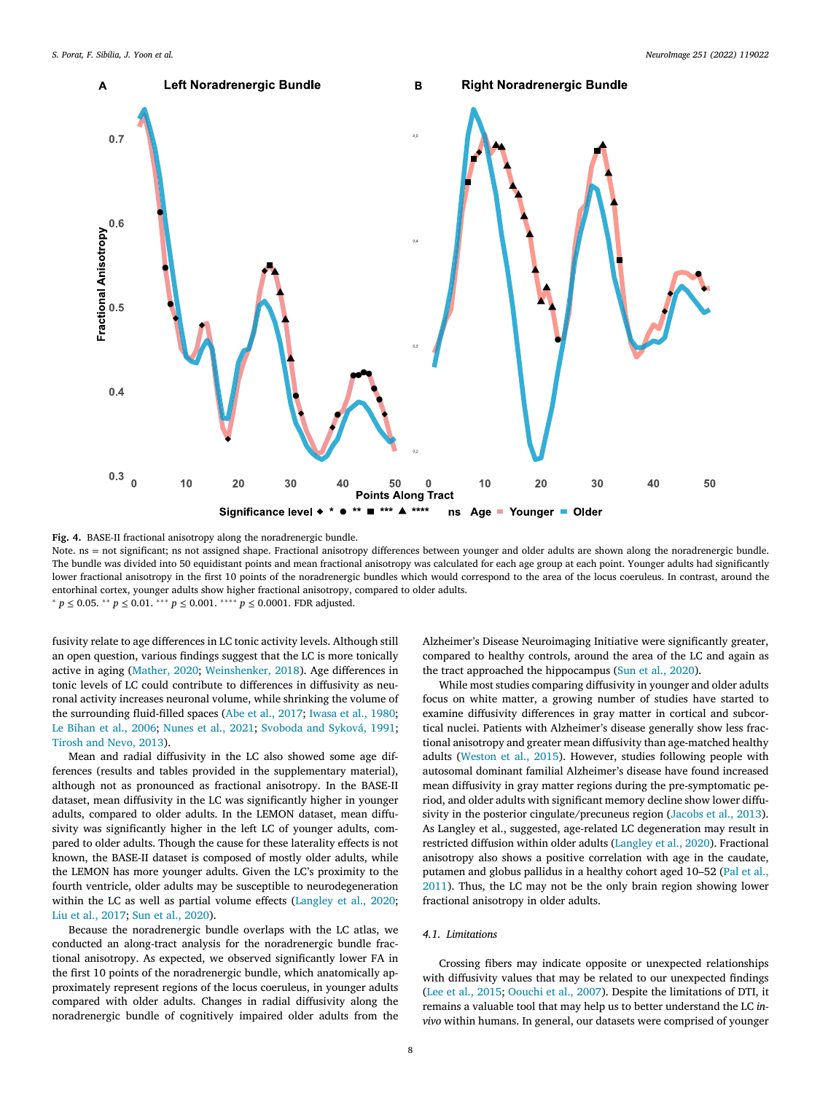<span id="page-7-0"></span>

**Fig. 4.** BASE-II fractional anisotropy along the noradrenergic bundle.

Note. ns = not significant; ns not assigned shape. Fractional anisotropy differences between younger and older adults are shown along the noradrenergic bundle. The bundle was divided into 50 equidistant points and mean fractional anisotropy was calculated for each age group at each point. Younger adults had significantly lower fractional anisotropy in the first 10 points of the noradrenergic bundles which would correspond to the area of the locus coeruleus. In contrast, around the entorhinal cortex, younger adults show higher fractional anisotropy, compared to older adults. <sup>∗</sup> *p* ≤ 0.05. ∗∗ *p* ≤ 0.01. ∗∗∗ *p* ≤ 0.001. ∗∗∗∗ *p* ≤ 0.0001. FDR adjusted.

fusivity relate to age differences in LC tonic activity levels. Although still an open question, various findings suggest that the LC is more tonically active in aging [\(Mather,](#page-10-0) 2020; [Weinshenker,](#page-10-0) 2018). Age differences in tonic levels of LC could contribute to differences in diffusivity as neuronal activity increases neuronal volume, while shrinking the volume of the surrounding fluid-filled spaces (Abe et al., [2017;](#page-9-0) [Iwasa](#page-9-0) et al., 1980; Le [Bihan](#page-9-0) et al., 2006; [Nunes](#page-10-0) et al., 2021; [Svoboda](#page-10-0) and Syková, 1991; [Tirosh](#page-10-0) and Nevo, 2013).

Mean and radial diffusivity in the LC also showed some age differences (results and tables provided in the supplementary material), although not as pronounced as fractional anisotropy. In the BASE-II dataset, mean diffusivity in the LC was significantly higher in younger adults, compared to older adults. In the LEMON dataset, mean diffusivity was significantly higher in the left LC of younger adults, compared to older adults. Though the cause for these laterality effects is not known, the BASE-II dataset is composed of mostly older adults, while the LEMON has more younger adults. Given the LC's proximity to the fourth ventricle, older adults may be susceptible to neurodegeneration within the LC as well as partial volume effects [\(Langley](#page-9-0) et al., 2020; Liu et al., [2017;](#page-9-0) Sun et al., [2020\)](#page-10-0).

Because the noradrenergic bundle overlaps with the LC atlas, we conducted an along-tract analysis for the noradrenergic bundle fractional anisotropy. As expected, we observed significantly lower FA in the first 10 points of the noradrenergic bundle, which anatomically approximately represent regions of the locus coeruleus, in younger adults compared with older adults. Changes in radial diffusivity along the noradrenergic bundle of cognitively impaired older adults from the Alzheimer's Disease Neuroimaging Initiative were significantly greater, compared to healthy controls, around the area of the LC and again as the tract approached the hippocampus (Sun et al., [2020\)](#page-10-0).

While most studies comparing diffusivity in younger and older adults focus on white matter, a growing number of studies have started to examine diffusivity differences in gray matter in cortical and subcortical nuclei. Patients with Alzheimer's disease generally show less fractional anisotropy and greater mean diffusivity than age-matched healthy adults [\(Weston](#page-10-0) et al., 2015). However, studies following people with autosomal dominant familial Alzheimer's disease have found increased mean diffusivity in gray matter regions during the pre-symptomatic period, and older adults with significant memory decline show lower diffusivity in the posterior cingulate/precuneus region [\(Jacobs](#page-9-0) et al., 2013). As Langley et al., suggested, age-related LC degeneration may result in restricted diffusion within older adults [\(Langley](#page-9-0) et al., 2020). Fractional anisotropy also shows a positive correlation with age in the caudate, [putamen](#page-10-0) and globus pallidus in a healthy cohort aged 10-52 (Pal et al., 2011). Thus, the LC may not be the only brain region showing lower fractional anisotropy in older adults.

#### *4.1. Limitations*

Crossing fibers may indicate opposite or unexpected relationships with diffusivity values that may be related to our unexpected findings (Lee et al., [2015;](#page-9-0) [Oouchi](#page-10-0) et al., 2007). Despite the limitations of DTI, it remains a valuable tool that may help us to better understand the LC *invivo* within humans. In general, our datasets were comprised of younger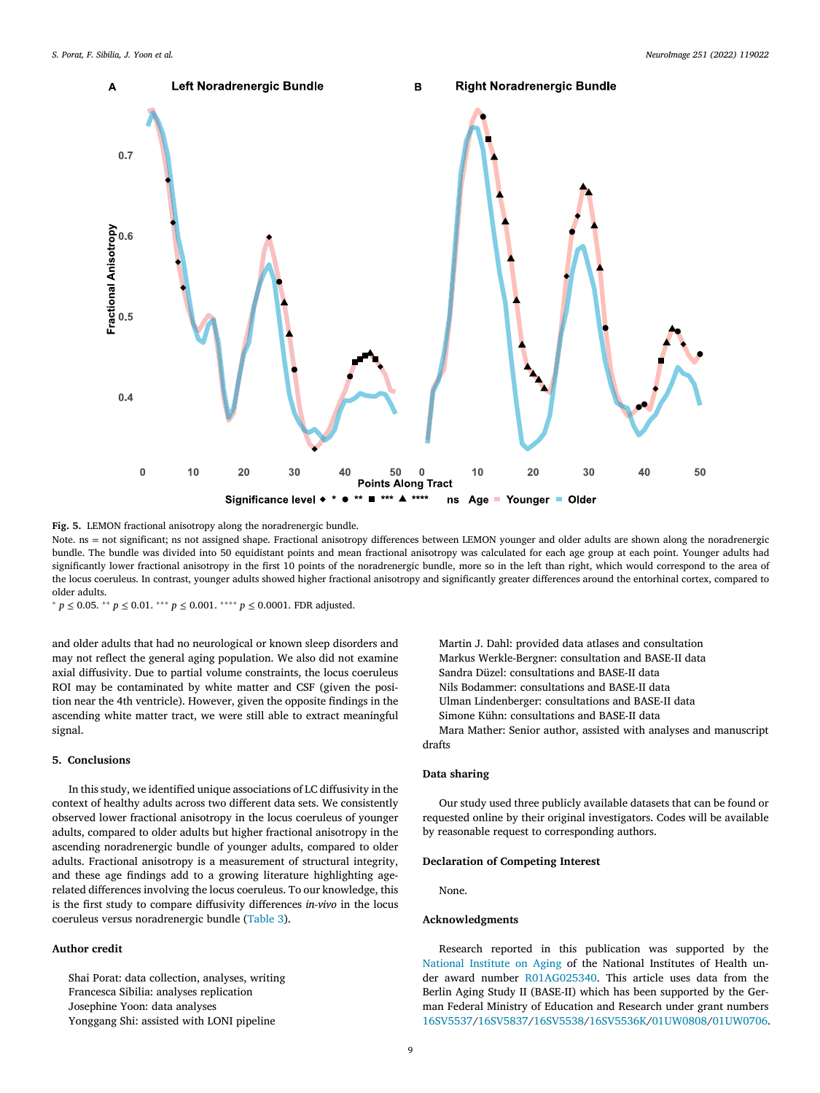<span id="page-8-0"></span>

**Fig. 5.** LEMON fractional anisotropy along the noradrenergic bundle.

Note. ns = not significant; ns not assigned shape. Fractional anisotropy differences between LEMON younger and older adults are shown along the noradrenergic bundle. The bundle was divided into 50 equidistant points and mean fractional anisotropy was calculated for each age group at each point. Younger adults had significantly lower fractional anisotropy in the first 10 points of the noradrenergic bundle, more so in the left than right, which would correspond to the area of the locus coeruleus. In contrast, younger adults showed higher fractional anisotropy and significantly greater differences around the entorhinal cortex, compared to older adults.

<sup>∗</sup> *p* ≤ 0.05. ∗∗ *p* ≤ 0.01. ∗∗∗ *p* ≤ 0.001. ∗∗∗∗ *p* ≤ 0.0001. FDR adjusted.

and older adults that had no neurological or known sleep disorders and may not reflect the general aging population. We also did not examine axial diffusivity. Due to partial volume constraints, the locus coeruleus ROI may be contaminated by white matter and CSF (given the position near the 4th ventricle). However, given the opposite findings in the ascending white matter tract, we were still able to extract meaningful signal.

## **5. Conclusions**

In this study, we identified unique associations of LC diffusivity in the context of healthy adults across two different data sets. We consistently observed lower fractional anisotropy in the locus coeruleus of younger adults, compared to older adults but higher fractional anisotropy in the ascending noradrenergic bundle of younger adults, compared to older adults. Fractional anisotropy is a measurement of structural integrity, and these age findings add to a growing literature highlighting agerelated differences involving the locus coeruleus. To our knowledge, this is the first study to compare diffusivity differences *in-vivo* in the locus coeruleus versus noradrenergic bundle [\(Table](#page-2-0) 3).

## **Author credit**

Shai Porat: data collection, analyses, writing Francesca Sibilia: analyses replication Josephine Yoon: data analyses Yonggang Shi: assisted with LONI pipeline

Martin J. Dahl: provided data atlases and consultation Markus Werkle-Bergner: consultation and BASE-II data Sandra Düzel: consultations and BASE-II data Nils Bodammer: consultations and BASE-II data Ulman Lindenberger: consultations and BASE-II data Simone Kühn: consultations and BASE-II data Mara Mather: Senior author, assisted with analyses and manuscript

drafts

# **Data sharing**

Our study used three publicly available datasets that can be found or requested online by their original investigators. Codes will be available by reasonable request to corresponding authors.

## **Declaration of Competing Interest**

None.

#### **Acknowledgments**

Research reported in this publication was supported by the [National](http://dx.doi.org/10.13039/100000049) Institute on Aging of the National Institutes of Health under award number R01AG025340. This article uses data from the Berlin Aging Study II (BASE-II) which has been supported by the German Federal Ministry of Education and Research under grant numbers 16SV5537/16SV5837/16SV5538/16SV5536K/01UW0808/01UW0706.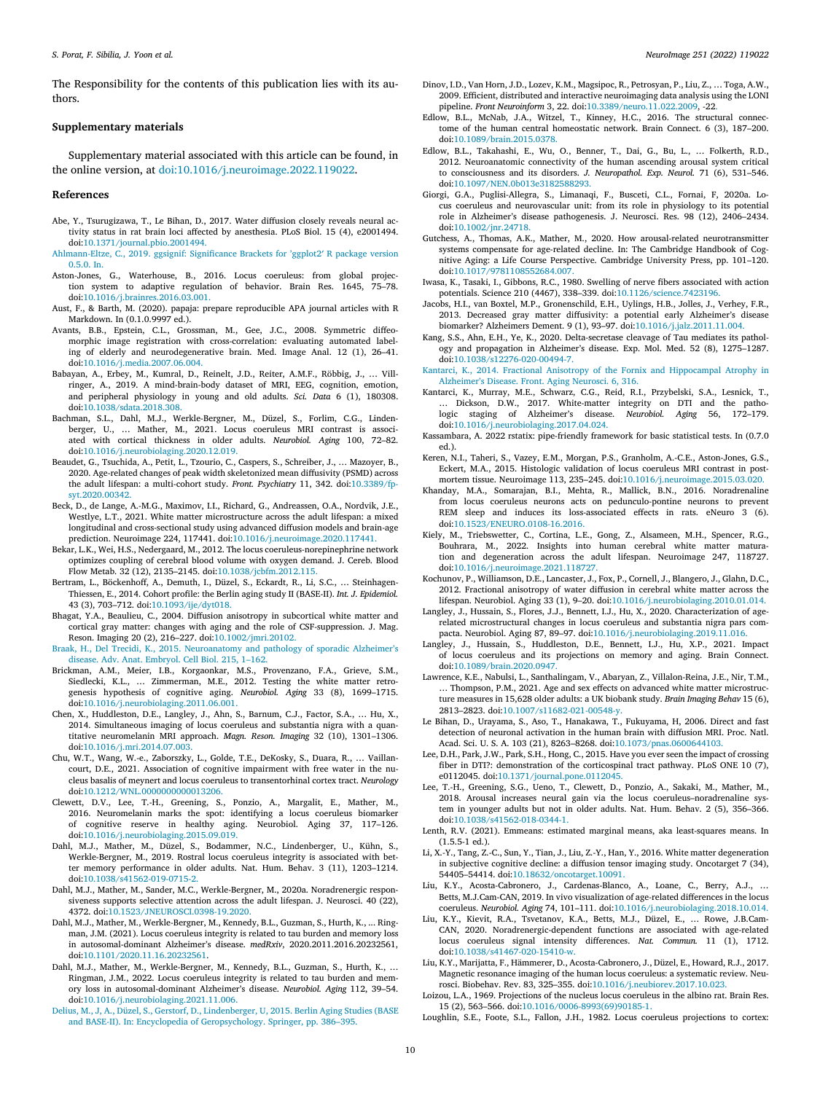<span id="page-9-0"></span>The Responsibility for the contents of this publication lies with its authors.

#### **Supplementary materials**

Supplementary material associated with this article can be found, in the online version, at [doi:10.1016/j.neuroimage.2022.119022.](https://doi.org/10.1016/j.neuroimage.2022.119022)

#### **References**

- Abe, Y., Tsurugizawa, T., Le Bihan, D., 2017. Water diffusion closely reveals neural activity status in rat brain loci affected by anesthesia. PLoS Biol. 15 (4), e2001494. doi[:10.1371/journal.pbio.2001494.](https://doi.org/10.1371/journal.pbio.2001494)
- [Ahlmann-Eltze,](http://refhub.elsevier.com/S1053-8119(22)00151-3/sbref0002) C., 2019. ggsignif: Significance Brackets for 'ggplot2′ R package version 0.5.0. In.
- Aston-Jones, G., Waterhouse, B., 2016. Locus coeruleus: from global projection system to adaptive regulation of behavior. Brain Res. 1645, 75–78. doi[:10.1016/j.brainres.2016.03.001.](https://doi.org/10.1016/j.brainres.2016.03.001)
- Aust, F., & Barth, M. (2020). papaja: prepare reproducible APA journal articles with R Markdown. In (0.1.0.9997 ed.).
- Avants, B.B., Epstein, C.L., Grossman, M., Gee, J.C., 2008. Symmetric diffeomorphic image registration with cross-correlation: evaluating automated labeling of elderly and neurodegenerative brain. Med. Image Anal. 12 (1), 26–41. doi[:10.1016/j.media.2007.06.004.](https://doi.org/10.1016/j.media.2007.06.004)
- Babayan, A., Erbey, M., Kumral, D., Reinelt, J.D., Reiter, A.M.F., Röbbig, J., … Villringer, A., 2019. A mind-brain-body dataset of MRI, EEG, cognition, emotion, and peripheral physiology in young and old adults. *Sci. Data* 6 (1), 180308. doi[:10.1038/sdata.2018.308.](https://doi.org/10.1038/sdata.2018.308)
- Bachman, S.L., Dahl, M.J., Werkle-Bergner, M., Düzel, S., Forlim, C.G., Lindenberger, U., … Mather, M., 2021. Locus coeruleus MRI contrast is associated with cortical thickness in older adults. *Neurobiol. Aging* 100, 72–82. doi[:10.1016/j.neurobiolaging.2020.12.019.](https://doi.org/10.1016/j.neurobiolaging.2020.12.019)
- Beaudet, G., Tsuchida, A., Petit, L., Tzourio, C., Caspers, S., Schreiber, J., … Mazoyer, B., 2020. Age-related changes of peak width skeletonized mean diffusivity (PSMD) across the adult lifespan: a multi-cohort study. *Front. Psychiatry* 11, 342. doi:10.3389/fp[syt.2020.00342.](https://doi.org/10.3389/fpsyt.2020.00342)
- Beck, D., de Lange, A.-M.G., Maximov, I.I., Richard, G., Andreassen, O.A., Nordvik, J.E., Westlye, L.T., 2021. White matter microstructure across the adult lifespan: a mixed longitudinal and cross-sectional study using advanced diffusion models and brain-age prediction. Neuroimage 224, 117441. doi[:10.1016/j.neuroimage.2020.117441.](https://doi.org/10.1016/j.neuroimage.2020.117441)
- Bekar, L.K., Wei, H.S., Nedergaard, M., 2012. The locus coeruleus-norepinephrine network optimizes coupling of cerebral blood volume with oxygen demand. J. Cereb. Blood Flow Metab. 32 (12), 2135–2145. doi[:10.1038/jcbfm.2012.115.](https://doi.org/10.1038/jcbfm.2012.115)
- Bertram, L., Böckenhoff, A., Demuth, I., Düzel, S., Eckardt, R., Li, S.C., … Steinhagen-Thiessen, E., 2014. Cohort profile: the Berlin aging study II (BASE-II). *Int. J. Epidemiol.* 43 (3), 703–712. doi[:10.1093/ije/dyt018.](https://doi.org/10.1093/ije/dyt018)
- Bhagat, Y.A., Beaulieu, C., 2004. Diffusion anisotropy in subcortical white matter and cortical gray matter: changes with aging and the role of CSF-suppression. J. Mag. Reson. Imaging 20 (2), 216–227. doi[:10.1002/jmri.20102.](https://doi.org/10.1002/jmri.20102)
- [Braak,](http://refhub.elsevier.com/S1053-8119(22)00151-3/sbref0013) H., Del [Trecidi,](http://refhub.elsevier.com/S1053-8119(22)00151-3/sbref0013) K., 2015. [Neuroanatomy](http://refhub.elsevier.com/S1053-8119(22)00151-3/sbref0013) and pathology of sporadic Alzheimer's disease. Adv. Anat. Embryol. Cell Biol. 215, 1–162.
- Brickman, A.M., Meier, I.B., Korgaonkar, M.S., Provenzano, F.A., Grieve, S.M., Siedlecki, K.L., ... Zimmerman, M.E., 2012. Testing the white matter retrogenesis hypothesis of cognitive aging. *Neurobiol. Aging* 33 (8), 1699–1715. doi[:10.1016/j.neurobiolaging.2011.06.001.](https://doi.org/10.1016/j.neurobiolaging.2011.06.001)
- Chen, X., Huddleston, D.E., Langley, J., Ahn, S., Barnum, C.J., Factor, S.A., … Hu, X., 2014. Simultaneous imaging of locus coeruleus and substantia nigra with a quantitative neuromelanin MRI approach. *Magn. Reson. Imaging* 32 (10), 1301–1306. doi[:10.1016/j.mri.2014.07.003.](https://doi.org/10.1016/j.mri.2014.07.003)
- Chu, W.T., Wang, W.-e., Zaborszky, L., Golde, T.E., DeKosky, S., Duara, R., … Vaillancourt, D.E., 2021. Association of cognitive impairment with free water in the nucleus basalis of meynert and locus coeruleus to transentorhinal cortex tract. *Neurology* doi[:10.1212/WNL.0000000000013206.](https://doi.org/10.1212/WNL.0000000000013206)
- Clewett, D.V., Lee, T.-H., Greening, S., Ponzio, A., Margalit, E., Mather, M., 2016. Neuromelanin marks the spot: identifying a locus coeruleus biomarker of cognitive reserve in healthy aging. Neurobiol. Aging 37, 117–126. doi[:10.1016/j.neurobiolaging.2015.09.019.](https://doi.org/10.1016/j.neurobiolaging.2015.09.019)
- Dahl, M.J., Mather, M., Düzel, S., Bodammer, N.C., Lindenberger, U., Kühn, S., Werkle-Bergner, M., 2019. Rostral locus coeruleus integrity is associated with better memory performance in older adults. Nat. Hum. Behav. 3 (11), 1203–1214. doi[:10.1038/s41562-019-0715-2.](https://doi.org/10.1038/s41562-019-0715-2)
- Dahl, M.J., Mather, M., Sander, M.C., Werkle-Bergner, M., 2020a. Noradrenergic responsiveness supports selective attention across the adult lifespan. J. Neurosci. 40 (22), 4372. doi[:10.1523/JNEUROSCI.0398-19.2020.](https://doi.org/10.1523/JNEUROSCI.0398-19.2020)
- Dahl, M.J., Mather, M., Werkle-Bergner, M., Kennedy, B.L., Guzman, S., Hurth, K., ... Ringman, J.M. (2021). Locus coeruleus integrity is related to tau burden and memory loss in autosomal-dominant Alzheimer's disease. *medRxiv*, 2020.2011.2016.20232561, doi[:10.1101/2020.11.16.20232561.](https://doi.org/10.1101/2020.11.16.20232561)
- Dahl, M.J., Mather, M., Werkle-Bergner, M., Kennedy, B.L., Guzman, S., Hurth, K., … Ringman, J.M., 2022. Locus coeruleus integrity is related to tau burden and memory loss in autosomal-dominant Alzheimer's disease. *Neurobiol. Aging* 112, 39–54. doi[:10.1016/j.neurobiolaging.2021.11.006.](https://doi.org/10.1016/j.neurobiolaging.2021.11.006)
- [Delius,](http://refhub.elsevier.com/S1053-8119(22)00151-3/sbref0023) M., J, [A.,](http://refhub.elsevier.com/S1053-8119(22)00151-3/sbref0023) [Düzel,](http://refhub.elsevier.com/S1053-8119(22)00151-3/sbref0023) S., [Gerstorf,](http://refhub.elsevier.com/S1053-8119(22)00151-3/sbref0023) D., [Lindenberger,](http://refhub.elsevier.com/S1053-8119(22)00151-3/sbref0023) U, 2015. Berlin Aging Studies (BASE and BASE-II). In: Encyclopedia of [Geropsychology.](http://refhub.elsevier.com/S1053-8119(22)00151-3/sbref0023) Springer, pp. 386–395.
- Dinov, I.D., Van Horn, J.D., Lozev, K.M., Magsipoc, R., Petrosyan, P., Liu, Z., … Toga, A.W., 2009. Efficient, distributed and interactive neuroimaging data analysis using the LONI pipeline. *Front Neuroinform* 3, 22. doi[:10.3389/neuro.11.022.2009,](https://doi.org/10.3389/neuro.11.022.2009) -22.
- Edlow, B.L., McNab, J.A., Witzel, T., Kinney, H.C., 2016. The structural connectome of the human central homeostatic network. Brain Connect. 6 (3), 187–200. doi[:10.1089/brain.2015.0378.](https://doi.org/10.1089/brain.2015.0378)
- Edlow, B.L., Takahashi, E., Wu, O., Benner, T., Dai, G., Bu, L., … Folkerth, R.D., 2012. Neuroanatomic connectivity of the human ascending arousal system critical to consciousness and its disorders. *J. Neuropathol. Exp. Neurol.* 71 (6), 531–546. doi[:10.1097/NEN.0b013e3182588293.](https://doi.org/10.1097/NEN.0b013e3182588293)
- Giorgi, G.A., Puglisi-Allegra, S., Limanaqi, F., Busceti, C.L., Fornai, F, 2020a. Locus coeruleus and neurovascular unit: from its role in physiology to its potential role in Alzheimer's disease pathogenesis. J. Neurosci. Res. 98 (12), 2406–2434. doi[:10.1002/jnr.24718.](https://doi.org/10.1002/jnr.24718)
- Gutchess, A., Thomas, A.K., Mather, M., 2020. How arousal-related neurotransmitter systems compensate for age-related decline. In: The Cambridge Handbook of Cognitive Aging: a Life Course Perspective. Cambridge University Press, pp. 101–120. doi[:10.1017/9781108552684.007.](https://doi.org/10.1017/9781108552684.007)
- Iwasa, K., Tasaki, I., Gibbons, R.C., 1980. Swelling of nerve fibers associated with action potentials. Science 210 (4467), 338–339. doi[:10.1126/science.7423196.](https://doi.org/10.1126/science.7423196)
- Jacobs, H.I., van Boxtel, M.P., Gronenschild, E.H., Uylings, H.B., Jolles, J., Verhey, F.R., 2013. Decreased gray matter diffusivity: a potential early Alzheimer's disease biomarker? Alzheimers Dement. 9 (1), 93–97. doi[:10.1016/j.jalz.2011.11.004.](https://doi.org/10.1016/j.jalz.2011.11.004)
- Kang, S.S., Ahn, E.H., Ye, K., 2020. Delta-secretase cleavage of Tau mediates its pathology and propagation in Alzheimer's disease. Exp. Mol. Med. 52 (8), 1275–1287. doi[:10.1038/s12276-020-00494-7.](https://doi.org/10.1038/s12276-020-00494-7)

[Kantarci,](http://refhub.elsevier.com/S1053-8119(22)00151-3/sbref0033) K., 2014. Fractional Anisotropy of the Fornix and [Hippocampal](http://refhub.elsevier.com/S1053-8119(22)00151-3/sbref0033) Atrophy in Alzheimer's Disease. Front. Aging Neurosci. 6, 316.

- Kantarci, K., Murray, M.E., Schwarz, C.G., Reid, R.I., Przybelski, S.A., Lesnick, T., … Dickson, D.W., 2017. White-matter integrity on DTI and the patho-logic staging of Alzheimer's disease. *Neurobiol. Aging* 56, 172–179. doi[:10.1016/j.neurobiolaging.2017.04.024.](https://doi.org/10.1016/j.neurobiolaging.2017.04.024)
- Kassambara, A. 2022 rstatix: pipe-friendly framework for basic statistical tests. In (0.7.0 ed.).
- Keren, N.I., Taheri, S., Vazey, E.M., Morgan, P.S., Granholm, A.-C.E., Aston-Jones, G.S., Eckert, M.A., 2015. Histologic validation of locus coeruleus MRI contrast in postmortem tissue. Neuroimage 113, 235–245. doi[:10.1016/j.neuroimage.2015.03.020.](https://doi.org/10.1016/j.neuroimage.2015.03.020)
- Khanday, M.A., Somarajan, B.I., Mehta, R., Mallick, B.N., 2016. Noradrenaline from locus coeruleus neurons acts on pedunculo-pontine neurons to prevent REM sleep and induces its loss-associated effects in rats. eNeuro 3 (6). doi[:10.1523/ENEURO.0108-16.2016.](https://doi.org/10.1523/ENEURO.0108-16.2016)
- Kiely, M., Triebswetter, C., Cortina, L.E., Gong, Z., Alsameen, M.H., Spencer, R.G., Bouhrara, M., 2022. Insights into human cerebral white matter maturation and degeneration across the adult lifespan. Neuroimage 247, 118727. doi[:10.1016/j.neuroimage.2021.118727.](https://doi.org/10.1016/j.neuroimage.2021.118727)
- Kochunov, P., Williamson, D.E., Lancaster, J., Fox, P., Cornell, J., Blangero, J., Glahn, D.C., 2012. Fractional anisotropy of water diffusion in cerebral white matter across the lifespan. Neurobiol. Aging 33 (1), 9–20. doi[:10.1016/j.neurobiolaging.2010.01.014.](https://doi.org/10.1016/j.neurobiolaging.2010.01.014)
- Langley, J., Hussain, S., Flores, J.J., Bennett, I.J., Hu, X., 2020. Characterization of agerelated microstructural changes in locus coeruleus and substantia nigra pars compacta. Neurobiol. Aging 87, 89–97. doi[:10.1016/j.neurobiolaging.2019.11.016.](https://doi.org/10.1016/j.neurobiolaging.2019.11.016)
- Langley, J., Hussain, S., Huddleston, D.E., Bennett, I.J., Hu, X.P., 2021. Impact of locus coeruleus and its projections on memory and aging. Brain Connect. doi[:10.1089/brain.2020.0947.](https://doi.org/10.1089/brain.2020.0947)
- Lawrence, K.E., Nabulsi, L., Santhalingam, V., Abaryan, Z., Villalon-Reina, J.E., Nir, T.M., … Thompson, P.M., 2021. Age and sex effects on advanced white matter microstructure measures in 15,628 older adults: a UK biobank study. *Brain Imaging Behav* 15 (6), 2813–2823. doi[:10.1007/s11682-021-00548-y.](https://doi.org/10.1007/s11682-021-00548-y)
- Le Bihan, D., Urayama, S., Aso, T., Hanakawa, T., Fukuyama, H, 2006. Direct and fast detection of neuronal activation in the human brain with diffusion MRI. Proc. Natl. Acad. Sci. U. S. A. 103 (21), 8263–8268. doi[:10.1073/pnas.0600644103.](https://doi.org/10.1073/pnas.0600644103)
- Lee, D.H., Park, J.W., Park, S.H., Hong, C., 2015. Have you ever seen the impact of crossing fiber in DTI?: demonstration of the corticospinal tract pathway. PLoS ONE 10 (7), e0112045. doi[:10.1371/journal.pone.0112045.](https://doi.org/10.1371/journal.pone.0112045)
- Lee, T.-H., Greening, S.G., Ueno, T., Clewett, D., Ponzio, A., Sakaki, M., Mather, M., 2018. Arousal increases neural gain via the locus coeruleus–noradrenaline system in younger adults but not in older adults. Nat. Hum. Behav. 2 (5), 356–366. doi[:10.1038/s41562-018-0344-1.](https://doi.org/10.1038/s41562-018-0344-1)
- Lenth, R.V. (2021). Emmeans: estimated marginal means, aka least-squares means. In (1.5.5-1 ed.).
- Li, X.-Y., Tang, Z.-C., Sun, Y., Tian, J., Liu, Z.-Y., Han, Y., 2016. White matter degeneration in subjective cognitive decline: a diffusion tensor imaging study. Oncotarget 7 (34), 54405–54414. doi[:10.18632/oncotarget.10091.](https://doi.org/10.18632/oncotarget.10091)
- Liu, K.Y., Acosta-Cabronero, J., Cardenas-Blanco, A., Loane, C., Berry, A.J., … Betts, M.J.Cam-CAN, 2019. In vivo visualization of age-related differences in the locus coeruleus. *Neurobiol. Aging* 74, 101–111. doi[:10.1016/j.neurobiolaging.2018.10.014.](https://doi.org/10.1016/j.neurobiolaging.2018.10.014)
- Liu, K.Y., Kievit, R.A., Tsvetanov, K.A., Betts, M.J., Düzel, E., … Rowe, J.B.Cam-CAN, 2020. Noradrenergic-dependent functions are associated with age-related locus coeruleus signal intensity differences. *Nat. Commun.* 11 (1), 1712. doi[:10.1038/s41467-020-15410-w.](https://doi.org/10.1038/s41467-020-15410-w)
- Liu, K.Y., Marijatta, F., Hämmerer, D., Acosta-Cabronero, J., Düzel, E., Howard, R.J., 2017. Magnetic resonance imaging of the human locus coeruleus: a systematic review. Neurosci. Biobehav. Rev. 83, 325–355. doi[:10.1016/j.neubiorev.2017.10.023.](https://doi.org/10.1016/j.neubiorev.2017.10.023)
- Loizou, L.A., 1969. Projections of the nucleus locus coeruleus in the albino rat. Brain Res. 15 (2), 563–566. doi[:10.1016/0006-8993\(69\)90185-1.](https://doi.org/10.1016/0006-8993(69)90185-1)
- Loughlin, S.E., Foote, S.L., Fallon, J.H., 1982. Locus coeruleus projections to cortex: